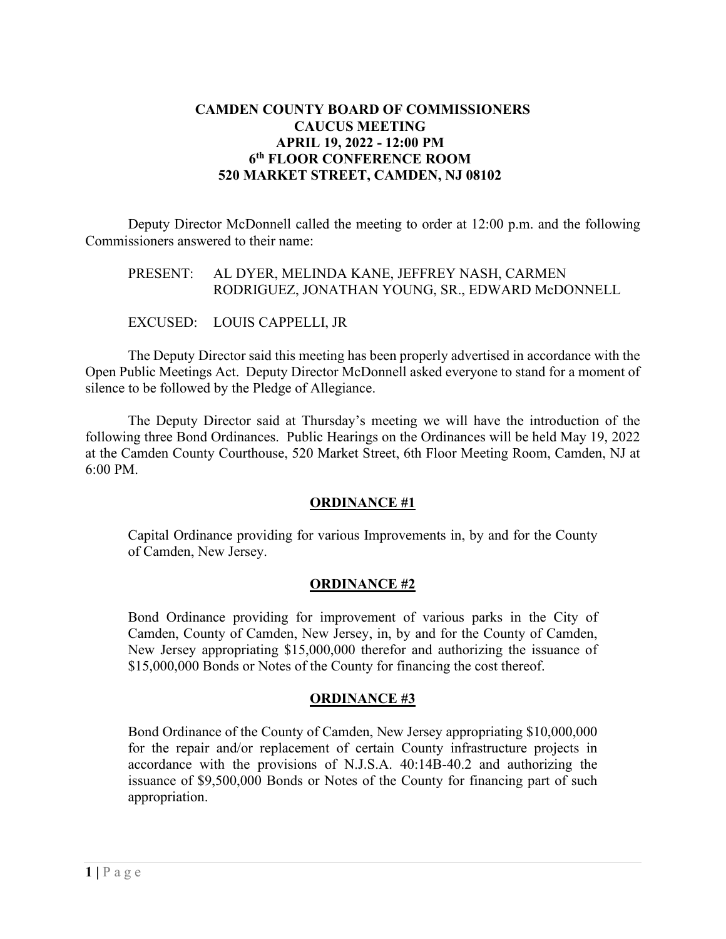## **CAMDEN COUNTY BOARD OF COMMISSIONERS CAUCUS MEETING APRIL 19, 2022 - 12:00 PM 6th FLOOR CONFERENCE ROOM 520 MARKET STREET, CAMDEN, NJ 08102**

 Deputy Director McDonnell called the meeting to order at 12:00 p.m. and the following Commissioners answered to their name:

### PRESENT: AL DYER, MELINDA KANE, JEFFREY NASH, CARMEN RODRIGUEZ, JONATHAN YOUNG, SR., EDWARD McDONNELL

EXCUSED: LOUIS CAPPELLI, JR

The Deputy Director said this meeting has been properly advertised in accordance with the Open Public Meetings Act. Deputy Director McDonnell asked everyone to stand for a moment of silence to be followed by the Pledge of Allegiance.

The Deputy Director said at Thursday's meeting we will have the introduction of the following three Bond Ordinances. Public Hearings on the Ordinances will be held May 19, 2022 at the Camden County Courthouse, 520 Market Street, 6th Floor Meeting Room, Camden, NJ at 6:00 PM.

# **ORDINANCE #1**

Capital Ordinance providing for various Improvements in, by and for the County of Camden, New Jersey.

#### **ORDINANCE #2**

Bond Ordinance providing for improvement of various parks in the City of Camden, County of Camden, New Jersey, in, by and for the County of Camden, New Jersey appropriating \$15,000,000 therefor and authorizing the issuance of \$15,000,000 Bonds or Notes of the County for financing the cost thereof.

#### **ORDINANCE #3**

Bond Ordinance of the County of Camden, New Jersey appropriating \$10,000,000 for the repair and/or replacement of certain County infrastructure projects in accordance with the provisions of N.J.S.A. 40:14B-40.2 and authorizing the issuance of \$9,500,000 Bonds or Notes of the County for financing part of such appropriation.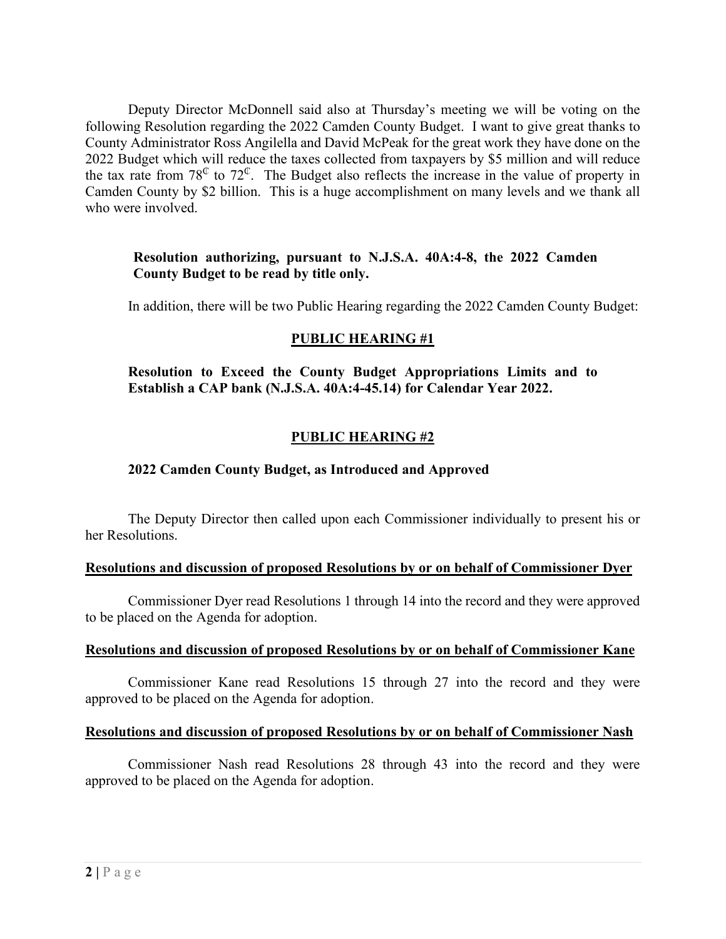Deputy Director McDonnell said also at Thursday's meeting we will be voting on the following Resolution regarding the 2022 Camden County Budget. I want to give great thanks to County Administrator Ross Angilella and David McPeak for the great work they have done on the 2022 Budget which will reduce the taxes collected from taxpayers by \$5 million and will reduce the tax rate from  $78^\circ$  to  $72^\circ$ . The Budget also reflects the increase in the value of property in Camden County by \$2 billion. This is a huge accomplishment on many levels and we thank all who were involved.

# **Resolution authorizing, pursuant to N.J.S.A. 40A:4-8, the 2022 Camden County Budget to be read by title only.**

In addition, there will be two Public Hearing regarding the 2022 Camden County Budget:

# **PUBLIC HEARING #1**

**Resolution to Exceed the County Budget Appropriations Limits and to Establish a CAP bank (N.J.S.A. 40A:4-45.14) for Calendar Year 2022.** 

# **PUBLIC HEARING #2**

### **2022 Camden County Budget, as Introduced and Approved**

The Deputy Director then called upon each Commissioner individually to present his or her Resolutions.

#### **Resolutions and discussion of proposed Resolutions by or on behalf of Commissioner Dyer**

Commissioner Dyer read Resolutions 1 through 14 into the record and they were approved to be placed on the Agenda for adoption.

#### **Resolutions and discussion of proposed Resolutions by or on behalf of Commissioner Kane**

Commissioner Kane read Resolutions 15 through 27 into the record and they were approved to be placed on the Agenda for adoption.

#### **Resolutions and discussion of proposed Resolutions by or on behalf of Commissioner Nash**

Commissioner Nash read Resolutions 28 through 43 into the record and they were approved to be placed on the Agenda for adoption.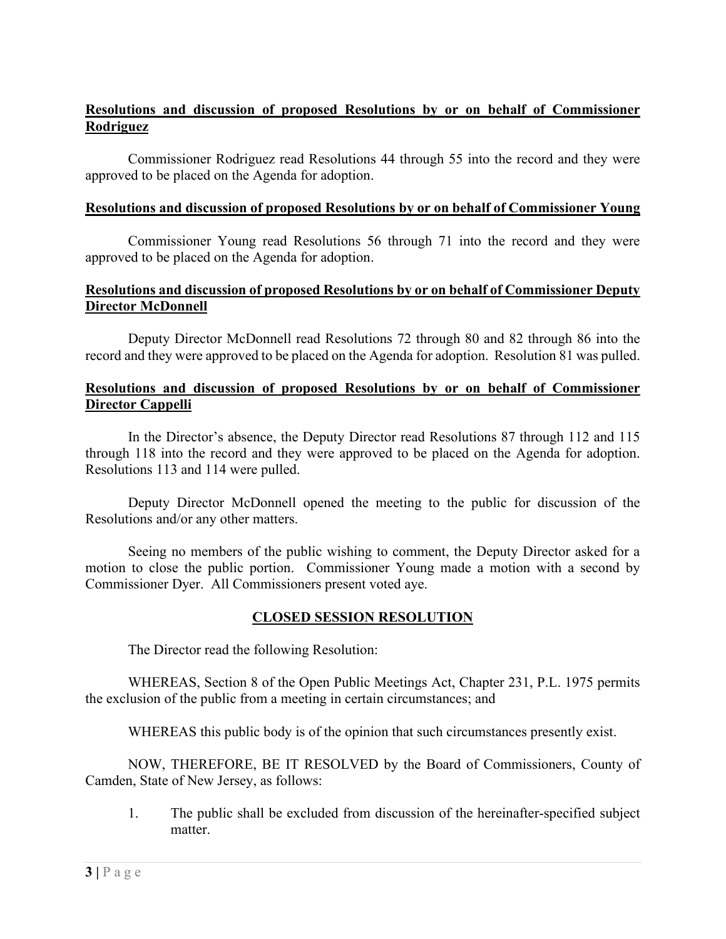# **Resolutions and discussion of proposed Resolutions by or on behalf of Commissioner Rodriguez**

Commissioner Rodriguez read Resolutions 44 through 55 into the record and they were approved to be placed on the Agenda for adoption.

### **Resolutions and discussion of proposed Resolutions by or on behalf of Commissioner Young**

Commissioner Young read Resolutions 56 through 71 into the record and they were approved to be placed on the Agenda for adoption.

# **Resolutions and discussion of proposed Resolutions by or on behalf of Commissioner Deputy Director McDonnell**

Deputy Director McDonnell read Resolutions 72 through 80 and 82 through 86 into the record and they were approved to be placed on the Agenda for adoption. Resolution 81 was pulled.

### **Resolutions and discussion of proposed Resolutions by or on behalf of Commissioner Director Cappelli**

In the Director's absence, the Deputy Director read Resolutions 87 through 112 and 115 through 118 into the record and they were approved to be placed on the Agenda for adoption. Resolutions 113 and 114 were pulled.

 Deputy Director McDonnell opened the meeting to the public for discussion of the Resolutions and/or any other matters.

Seeing no members of the public wishing to comment, the Deputy Director asked for a motion to close the public portion. Commissioner Young made a motion with a second by Commissioner Dyer. All Commissioners present voted aye.

# **CLOSED SESSION RESOLUTION**

The Director read the following Resolution:

WHEREAS, Section 8 of the Open Public Meetings Act, Chapter 231, P.L. 1975 permits the exclusion of the public from a meeting in certain circumstances; and

WHEREAS this public body is of the opinion that such circumstances presently exist.

NOW, THEREFORE, BE IT RESOLVED by the Board of Commissioners, County of Camden, State of New Jersey, as follows:

1. The public shall be excluded from discussion of the hereinafter-specified subject matter.